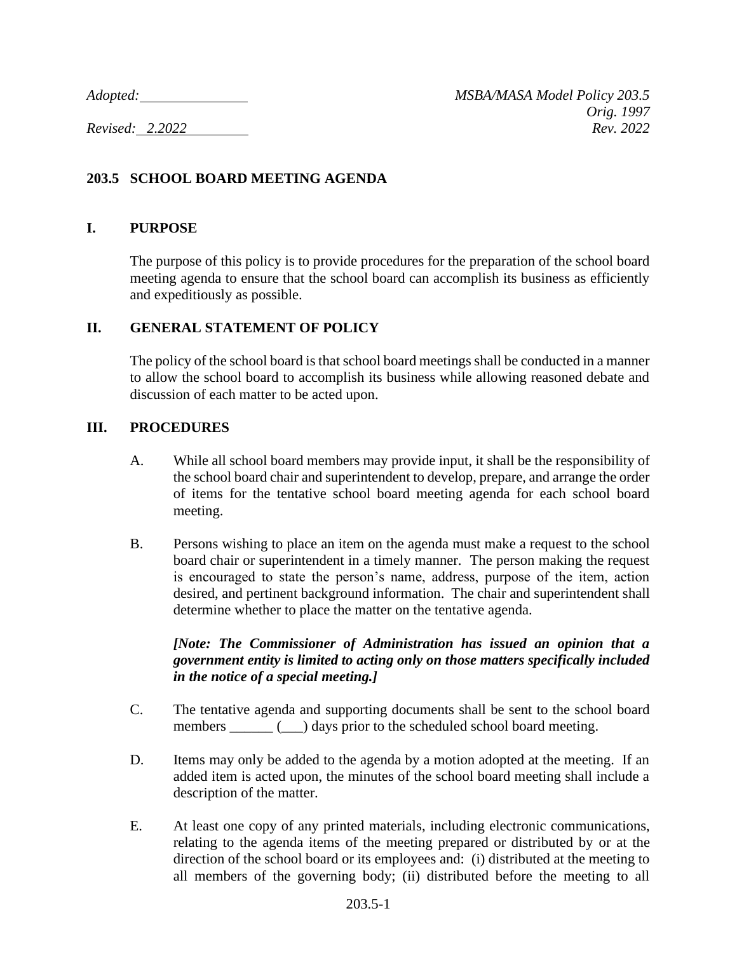# **203.5 SCHOOL BOARD MEETING AGENDA**

### **I. PURPOSE**

The purpose of this policy is to provide procedures for the preparation of the school board meeting agenda to ensure that the school board can accomplish its business as efficiently and expeditiously as possible.

### **II. GENERAL STATEMENT OF POLICY**

The policy of the school board is that school board meetings shall be conducted in a manner to allow the school board to accomplish its business while allowing reasoned debate and discussion of each matter to be acted upon.

### **III. PROCEDURES**

- A. While all school board members may provide input, it shall be the responsibility of the school board chair and superintendent to develop, prepare, and arrange the order of items for the tentative school board meeting agenda for each school board meeting.
- B. Persons wishing to place an item on the agenda must make a request to the school board chair or superintendent in a timely manner. The person making the request is encouraged to state the person's name, address, purpose of the item, action desired, and pertinent background information. The chair and superintendent shall determine whether to place the matter on the tentative agenda.

## *[Note: The Commissioner of Administration has issued an opinion that a government entity is limited to acting only on those matters specifically included in the notice of a special meeting.]*

- C. The tentative agenda and supporting documents shall be sent to the school board members \_\_\_\_\_\_ (\_\_\_) days prior to the scheduled school board meeting.
- D. Items may only be added to the agenda by a motion adopted at the meeting. If an added item is acted upon, the minutes of the school board meeting shall include a description of the matter.
- E. At least one copy of any printed materials, including electronic communications, relating to the agenda items of the meeting prepared or distributed by or at the direction of the school board or its employees and: (i) distributed at the meeting to all members of the governing body; (ii) distributed before the meeting to all